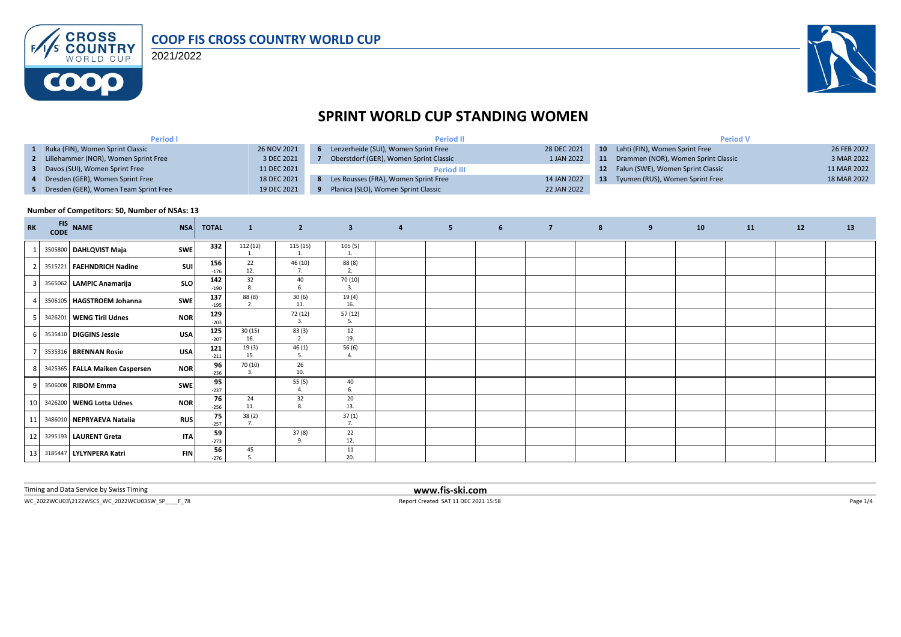

2021/2022



## **SPRINT WORLD CUP STANDING WOMEN**

| <b>Period I</b>                         |             | <b>Period II</b>                       |             | <b>Period V</b> |                                          |             |  |  |
|-----------------------------------------|-------------|----------------------------------------|-------------|-----------------|------------------------------------------|-------------|--|--|
| Ruka (FIN), Women Sprint Classic        | 26 NOV 2021 | Lenzerheide (SUI), Women Sprint Free   | 28 DEC 2021 |                 | <b>10</b> Lahti (FIN), Women Sprint Free | 26 FEB 2022 |  |  |
| 2 Lillehammer (NOR), Women Sprint Free  | 3 DEC 2021  | Oberstdorf (GER), Women Sprint Classic | 1 JAN 2022  | 11              | Drammen (NOR), Women Sprint Classic      | 3 MAR 2022  |  |  |
| Davos (SUI), Women Sprint Free          | 11 DEC 2021 | <b>Period III</b>                      |             |                 | 12 Falun (SWE), Women Sprint Classic     | 11 MAR 2022 |  |  |
| 4 Dresden (GER), Women Sprint Free      | 18 DEC 2021 | Les Rousses (FRA), Women Sprint Free   | 14 JAN 2022 | -13             | Tyumen (RUS), Women Sprint Free          | 18 MAR 2022 |  |  |
| 5 Dresden (GER), Women Team Sprint Free | 19 DEC 2021 | Planica (SLO), Women Sprint Classic    | 22 JAN 2022 |                 |                                          |             |  |  |

#### **Number of Competitors: 50, Number of NSAs: 13**

| <b>RK</b>       | <b>FIS</b> | CODE NAME                      | <b>NSA</b> | <b>TOTAL</b>  | $\mathbf{1}$              | $\overline{2}$ | $\overline{\mathbf{3}}$ | $\overline{a}$ | 5 <sub>1</sub> | 6 | $\overline{7}$ | $\boldsymbol{8}$ | 9 | 10 | 11 | 12 | 13 |
|-----------------|------------|--------------------------------|------------|---------------|---------------------------|----------------|-------------------------|----------------|----------------|---|----------------|------------------|---|----|----|----|----|
|                 |            | 3505800 DAHLQVIST Maja         | <b>SWE</b> | 332           | 112 (12)                  | 115 (15)       | 105(5)                  |                |                |   |                |                  |   |    |    |    |    |
|                 |            | 3515221 FAEHNDRICH Nadine      | <b>SUI</b> | 156<br>$-176$ | 22<br>12.                 | 46 (10)<br>7.  | 88 (8)<br>2.            |                |                |   |                |                  |   |    |    |    |    |
|                 |            | 3565062 LAMPIC Anamarija       | <b>SLO</b> | 142<br>$-190$ | 32                        | 40<br>6.       | 70 (10)<br>3.           |                |                |   |                |                  |   |    |    |    |    |
|                 |            | 3506105 HAGSTROEM Johanna      | <b>SWE</b> | 137<br>$-195$ | 88 (8)<br>2.              | 30(6)<br>11.   | 19(4)<br>16.            |                |                |   |                |                  |   |    |    |    |    |
|                 |            | 3426201 WENG Tiril Udnes       | <b>NOR</b> | 129<br>$-203$ |                           | 72 (12)<br>3.  | 57(12)<br>5.            |                |                |   |                |                  |   |    |    |    |    |
|                 |            | 3535410 DIGGINS Jessie         | <b>USA</b> | 125<br>$-207$ | 30(15)<br>16.             | 83(3)<br>2.    | 12<br>19.               |                |                |   |                |                  |   |    |    |    |    |
|                 |            | 3535316 BRENNAN Rosie          | <b>USA</b> | 121<br>$-211$ | 19(3)<br>15.              | 46(1)<br>5.    | 56 (6)<br>4.            |                |                |   |                |                  |   |    |    |    |    |
|                 |            | 3425365 FALLA Maiken Caspersen | <b>NOR</b> | 96<br>$-236$  | 70 (10)<br>$\overline{3}$ | 26<br>10.      |                         |                |                |   |                |                  |   |    |    |    |    |
| $\mathsf{q}$    |            | 3506008 RIBOM Emma             | SWE        | 95<br>$-237$  |                           | 55(5)<br>4.    | 40<br>6.                |                |                |   |                |                  |   |    |    |    |    |
| 10              |            | 3426200 WENG Lotta Udnes       | <b>NOR</b> | 76<br>$-256$  | 24<br>11.                 | 32<br>8.       | 20<br>13.               |                |                |   |                |                  |   |    |    |    |    |
| 11              |            | 3486010 NEPRYAEVA Natalia      | <b>RUS</b> | 75<br>$-257$  | 38(2)<br>7.               |                | 37 (1)<br>7.            |                |                |   |                |                  |   |    |    |    |    |
| 12 <sub>1</sub> |            | 3295193 LAURENT Greta          | <b>ITA</b> | 59<br>$-273$  |                           | 37(8)<br>9.    | 22<br>12.               |                |                |   |                |                  |   |    |    |    |    |
| 13 <sup>1</sup> |            | 3185447 LYLYNPERA Katri        | <b>FIN</b> | 56<br>$-276$  | 45                        |                | 11<br>20.               |                |                |   |                |                  |   |    |    |    |    |

Timing and Data Service by Swiss Timing **www.fis-ski.com**

WC\_2022WCU03\2122WSCS\_WC\_2022WCU03SW\_SP\_\_\_\_F\_78 Page 1/4 Report Created SAT 11 DEC 2021 15:58 Page 1/4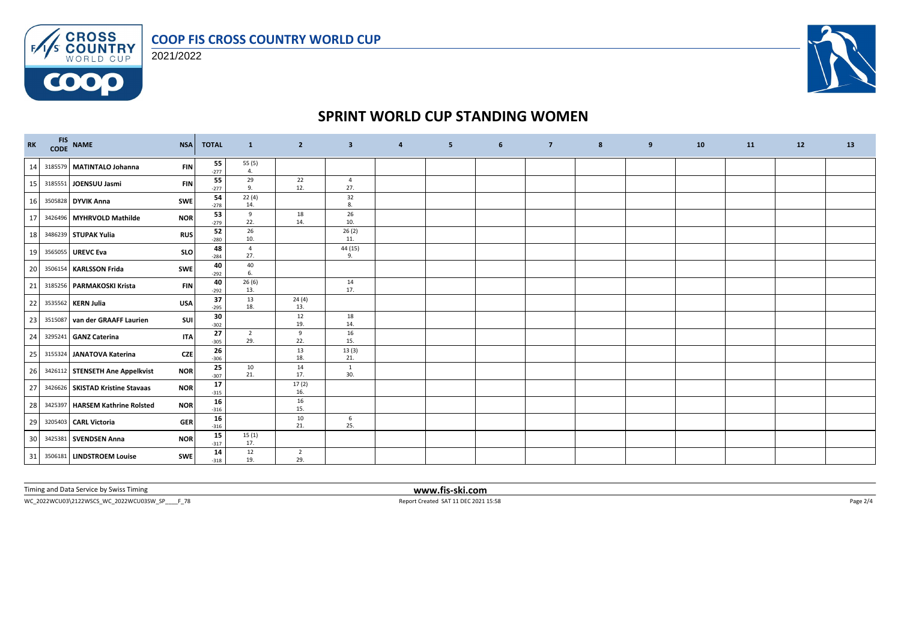

FAS CROSS 2021/2022

**COOO** 



## **SPRINT WORLD CUP STANDING WOMEN**

| $\mathbf{R}\mathbf{K}$ |         | FIS NAME                          | <b>NSA</b> | <b>TOTAL</b> | $\mathbf{1}$          | $\overline{2}$        | $\overline{\mathbf{3}}$ | $\overline{a}$ | 5 <sub>5</sub> | $6\phantom{1}$ | $\overline{7}$ | 8 | 9 | 10 | 11 | 12 | 13 |
|------------------------|---------|-----------------------------------|------------|--------------|-----------------------|-----------------------|-------------------------|----------------|----------------|----------------|----------------|---|---|----|----|----|----|
| 14                     |         | 3185579 MATINTALO Johanna         | <b>FIN</b> | 55<br>$-277$ | 55 (5)<br>4.          |                       |                         |                |                |                |                |   |   |    |    |    |    |
| 15                     |         | 3185551 JOENSUU Jasmi             | <b>FIN</b> | 55<br>$-277$ | 29<br>9.              | 22<br>12.             | $\overline{4}$<br>27.   |                |                |                |                |   |   |    |    |    |    |
| 16                     |         | 3505828 DYVIK Anna                | <b>SWE</b> | 54<br>$-278$ | 22(4)<br>14.          |                       | 32<br>8.                |                |                |                |                |   |   |    |    |    |    |
| 17                     |         | 3426496 MYHRVOLD Mathilde         | <b>NOR</b> | 53<br>$-279$ | 9<br>22.              | 18<br>14.             | 26<br>10.               |                |                |                |                |   |   |    |    |    |    |
| 18                     |         | 3486239 STUPAK Yulia              | <b>RUS</b> | 52<br>$-280$ | 26<br>10.             |                       | 26(2)<br>11.            |                |                |                |                |   |   |    |    |    |    |
| 19                     |         | 3565055 UREVC Eva                 | <b>SLO</b> | 48<br>$-284$ | $\overline{4}$<br>27. |                       | 44 (15)<br>9.           |                |                |                |                |   |   |    |    |    |    |
| 20                     | 3506154 | <b>KARLSSON Frida</b>             | <b>SWE</b> | 40<br>$-292$ | 40<br>6.              |                       |                         |                |                |                |                |   |   |    |    |    |    |
| 21                     |         | 3185256 PARMAKOSKI Krista         | <b>FIN</b> | 40<br>$-292$ | 26(6)<br>13.          |                       | 14<br>17.               |                |                |                |                |   |   |    |    |    |    |
| 22                     |         | 3535562 KERN Julia                | <b>USA</b> | 37<br>$-295$ | 13<br>18.             | 24(4)<br>13.          |                         |                |                |                |                |   |   |    |    |    |    |
| 23                     |         | 3515087 van der GRAAFF Laurien    | <b>SUI</b> | 30<br>$-302$ |                       | 12<br>19.             | 18<br>14.               |                |                |                |                |   |   |    |    |    |    |
| 24                     |         | 3295241 GANZ Caterina             | <b>ITA</b> | 27<br>$-305$ | $\overline{2}$<br>29. | 9<br>22.              | 16<br>15.               |                |                |                |                |   |   |    |    |    |    |
| 25                     |         | 3155324 JANATOVA Katerina         | CZE        | 26<br>$-306$ |                       | 13<br>18.             | 13(3)<br>21.            |                |                |                |                |   |   |    |    |    |    |
| 26                     |         | 3426112 STENSETH Ane Appelkvist   | <b>NOR</b> | 25<br>$-307$ | 10<br>21.             | 14<br>17.             | $\mathbf{1}$<br>30.     |                |                |                |                |   |   |    |    |    |    |
| 27                     |         | 3426626 SKISTAD Kristine Stavaas  | <b>NOR</b> | 17<br>$-315$ |                       | 17(2)<br>16.          |                         |                |                |                |                |   |   |    |    |    |    |
| 28                     |         | 3425397   HARSEM Kathrine Rolsted | <b>NOR</b> | 16<br>$-316$ |                       | 16<br>15.             |                         |                |                |                |                |   |   |    |    |    |    |
| 29                     |         | 3205403 CARL Victoria             | <b>GER</b> | 16<br>$-316$ |                       | 10<br>21.             | 6<br>25.                |                |                |                |                |   |   |    |    |    |    |
| 30                     |         | 3425381 SVENDSEN Anna             | <b>NOR</b> | 15<br>$-317$ | 15(1)<br>17.          |                       |                         |                |                |                |                |   |   |    |    |    |    |
|                        |         | 31 3506181 LINDSTROEM Louise      | SWE        | 14<br>$-318$ | 12<br>19.             | $\overline{2}$<br>29. |                         |                |                |                |                |   |   |    |    |    |    |

Timing and Data Service by Swiss Timing **www.fis-ski.com**

 $\footnotesize \begin{array}{ll} \text{WC\_2022WCUO3\&2122\textrm{WSCS\_WC\_2022WCUO35W\_SP}\text{\textcolor{red}{\textbf{}}\_F\_78} & \text{Page 2/4}\end{array}$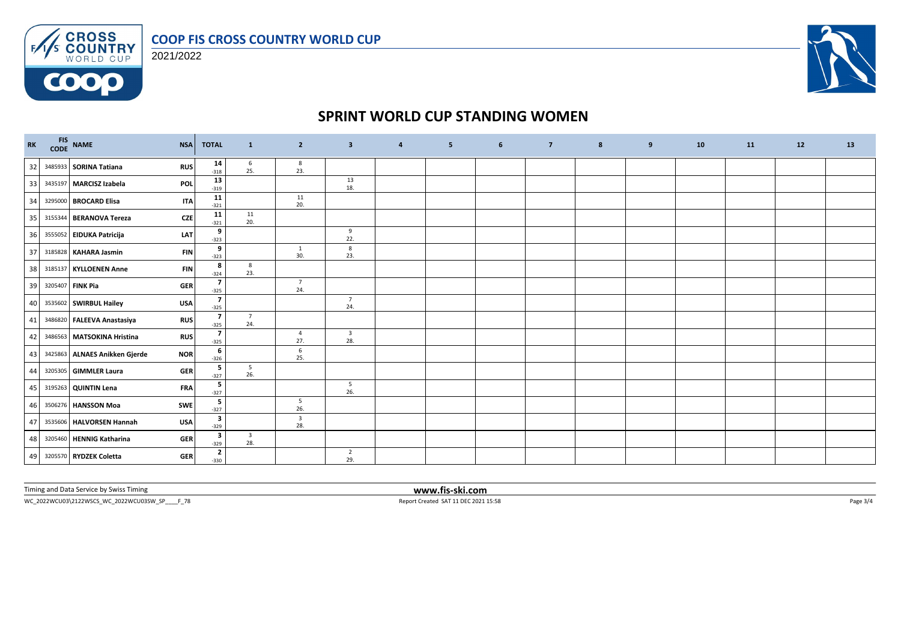





## **SPRINT WORLD CUP STANDING WOMEN**

| RK | FIS NAME<br>CODE NAME<br><b>NSA</b>         | <b>TOTAL</b> | $\mathbf{1}$                                      | $\overline{2}$                 | $\overline{\mathbf{3}}$        | $\overline{4}$ | 5 <sub>5</sub> | $6\overline{6}$ | $\overline{7}$ | $\boldsymbol{8}$ | 9 | 10 | 11 | 12 | 13 |
|----|---------------------------------------------|--------------|---------------------------------------------------|--------------------------------|--------------------------------|----------------|----------------|-----------------|----------------|------------------|---|----|----|----|----|
| 32 | 3485933 SORINA Tatiana<br><b>RUS</b>        |              | 14<br>$6\overline{6}$<br>25.<br>$-318$            | 8<br>23.                       |                                |                |                |                 |                |                  |   |    |    |    |    |
| 33 | 3435197 MARCISZ Izabela<br>POL              |              | 13<br>$-319$                                      |                                | 13<br>18.                      |                |                |                 |                |                  |   |    |    |    |    |
| 34 | 3295000 BROCARD Elisa<br><b>ITA</b>         | $-321$       | 11                                                | 11<br>20.                      |                                |                |                |                 |                |                  |   |    |    |    |    |
| 35 | <b>CZE</b><br>3155344 BERANOVA Tereza       | $-321$       | 11<br>11<br>20.                                   |                                |                                |                |                |                 |                |                  |   |    |    |    |    |
| 36 | 3555052 EIDUKA Patricija<br>LAT             |              | 9<br>$-323$                                       |                                | 9<br>22.                       |                |                |                 |                |                  |   |    |    |    |    |
| 37 | 3185828 KAHARA Jasmin<br><b>FIN</b>         |              | 9<br>$-323$                                       | 1<br>30.                       | 8<br>23.                       |                |                |                 |                |                  |   |    |    |    |    |
| 38 | 3185137 KYLLOENEN Anne<br><b>FIN</b>        |              | 8<br>8<br>23.<br>$-324$                           |                                |                                |                |                |                 |                |                  |   |    |    |    |    |
| 39 | 3205407 FINK Pia<br><b>GER</b>              |              | $\overline{\phantom{a}}$<br>$-325$                | $\overline{7}$<br>24.          |                                |                |                |                 |                |                  |   |    |    |    |    |
|    | 40 3535602 SWIRBUL Hailey<br><b>USA</b>     |              | $\overline{\phantom{a}}$<br>$-325$                |                                | $\overline{7}$<br>24.          |                |                |                 |                |                  |   |    |    |    |    |
|    | 41 3486820 FALEEVA Anastasiya<br><b>RUS</b> |              | $\overline{7}$<br>$\overline{7}$<br>24.<br>$-325$ |                                |                                |                |                |                 |                |                  |   |    |    |    |    |
|    | 42 3486563 MATSOKINA Hristina<br><b>RUS</b> |              | $\overline{\phantom{a}}$<br>$-325$                | $\overline{4}$<br>27.          | $\overline{\mathbf{3}}$<br>28. |                |                |                 |                |                  |   |    |    |    |    |
| 43 | 3425863 ALNAES Anikken Gjerde<br><b>NOR</b> |              | 6<br>$-326$                                       | 6<br>25.                       |                                |                |                |                 |                |                  |   |    |    |    |    |
| 44 | 3205305 GIMMLER Laura<br><b>GER</b>         |              | 5<br>$5\overline{5}$<br>26.<br>$-327$             |                                |                                |                |                |                 |                |                  |   |    |    |    |    |
| 45 | <b>FRA</b><br>3195263 QUINTIN Lena          |              | 5<br>$-327$                                       |                                | $5\overline{)}$<br>26.         |                |                |                 |                |                  |   |    |    |    |    |
| 46 | 3506276 HANSSON Moa<br><b>SWE</b>           |              | 5<br>$-327$                                       | $5\overline{)}$<br>26.         |                                |                |                |                 |                |                  |   |    |    |    |    |
| 47 | 3535606 HALVORSEN Hannah<br><b>USA</b>      |              | 3<br>$-329$                                       | $\overline{\mathbf{3}}$<br>28. |                                |                |                |                 |                |                  |   |    |    |    |    |
| 48 | 3205460 HENNIG Katharina<br><b>GER</b>      |              | 3<br>$\overline{\mathbf{3}}$<br>28.<br>$-329$     |                                |                                |                |                |                 |                |                  |   |    |    |    |    |
|    | 49 3205570 RYDZEK Coletta<br><b>GER</b>     |              | $\mathbf{2}$<br>$-330$                            |                                | $\overline{2}$<br>29.          |                |                |                 |                |                  |   |    |    |    |    |

Timing and Data Service by Swiss Timing **www.fis-ski.com**

 $WC_2022WCU03\backslash 2122WSCS_2WC_2022WCU03SW\_SP\_\_F73$   $\noindent \vspace{-2.0cm}$   $\vspace{-2.0cm} \begin{array}{ll} \text{Report Created SAT 11 DEC 2021 15:58} \end{array} \vspace{-2.0cm}$